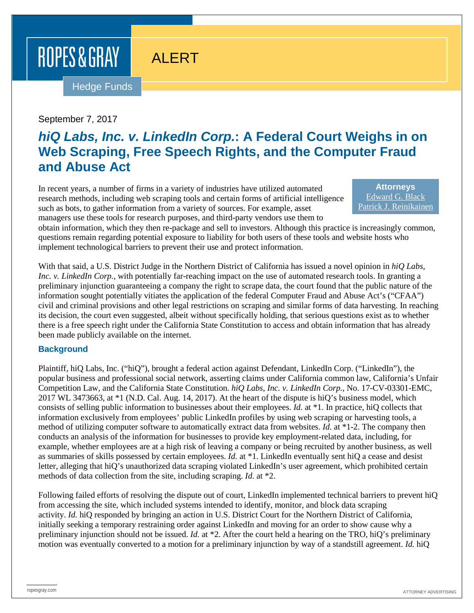# ROPES & GRAY

# ALERT

Hedge Funds

#### September 7, 2017

# *hiQ Labs, Inc. v. LinkedIn Corp.***: A Federal Court Weighs in on Web Scraping, Free Speech Rights, and the Computer Fraud and Abuse Act**

In recent years, a number of firms in a variety of industries have utilized automated research methods, including web scraping tools and certain forms of artificial intelligence such as bots, to gather information from a variety of sources. For example, asset managers use these tools for research purposes, and third-party vendors use them to

**Attorneys** [Edward G. Black](https://www.ropesgray.com/biographies/b/edward-g-black.aspx) [Patrick J. Reinikainen](https://www.ropesgray.com/biographies/r/patrick-reinikainen.aspx)

obtain information, which they then re-package and sell to investors. Although this practice is increasingly common, questions remain regarding potential exposure to liability for both users of these tools and website hosts who implement technological barriers to prevent their use and protect information.

With that said, a U.S. District Judge in the Northern District of California has issued a novel opinion in *hiQ Labs*, *Inc. v. LinkedIn Corp.*, with potentially far-reaching impact on the use of automated research tools. In granting a preliminary injunction guaranteeing a company the right to scrape data, the court found that the public nature of the information sought potentially vitiates the application of the federal Computer Fraud and Abuse Act's ("CFAA") civil and criminal provisions and other legal restrictions on scraping and similar forms of data harvesting. In reaching its decision, the court even suggested, albeit without specifically holding, that serious questions exist as to whether there is a free speech right under the California State Constitution to access and obtain information that has already been made publicly available on the internet.

#### **Background**

Plaintiff, hiQ Labs, Inc. ("hiQ"), brought a federal action against Defendant, LinkedIn Corp. ("LinkedIn"), the popular business and professional social network, asserting claims under California common law, California's Unfair Competition Law, and the California State Constitution. *hiQ Labs, Inc. v. LinkedIn Corp.*, No. 17-CV-03301-EMC, 2017 WL 3473663, at \*1 (N.D. Cal. Aug. 14, 2017). At the heart of the dispute is hiQ's business model, which consists of selling public information to businesses about their employees. *Id.* at \*1. In practice, hiQ collects that information exclusively from employees' public LinkedIn profiles by using web scraping or harvesting tools, a method of utilizing computer software to automatically extract data from websites. *Id.* at \*1-2. The company then conducts an analysis of the information for businesses to provide key employment-related data, including, for example, whether employees are at a high risk of leaving a company or being recruited by another business, as well as summaries of skills possessed by certain employees. *Id.* at \*1. LinkedIn eventually sent hiQ a cease and desist letter, alleging that hiQ's unauthorized data scraping violated LinkedIn's user agreement, which prohibited certain methods of data collection from the site, including scraping. *Id.* at \*2.

Following failed efforts of resolving the dispute out of court, LinkedIn implemented technical barriers to prevent hiQ from accessing the site, which included systems intended to identify, monitor, and block data scraping activity. *Id.* hiQ responded by bringing an action in U.S. District Court for the Northern District of California, initially seeking a temporary restraining order against LinkedIn and moving for an order to show cause why a preliminary injunction should not be issued. *Id.* at \*2. After the court held a hearing on the TRO, hiQ's preliminary motion was eventually converted to a motion for a preliminary injunction by way of a standstill agreement. *Id.* hiQ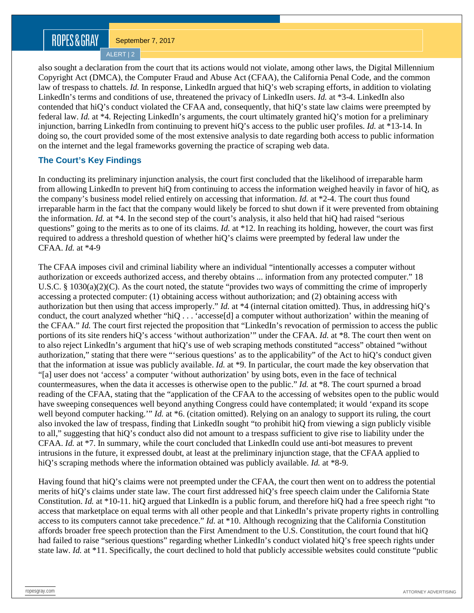# ROPES&GRAY

September 7, 2017

ALERT | 2

also sought a declaration from the court that its actions would not violate, among other laws, the Digital Millennium Copyright Act (DMCA), the Computer Fraud and Abuse Act (CFAA), the California Penal Code, and the common law of trespass to chattels. *Id.* In response, LinkedIn argued that hiQ's web scraping efforts, in addition to violating LinkedIn's terms and conditions of use, threatened the privacy of LinkedIn users. *Id.* at \*3-4. LinkedIn also contended that hiQ's conduct violated the CFAA and, consequently, that hiQ's state law claims were preempted by federal law. *Id.* at \*4. Rejecting LinkedIn's arguments, the court ultimately granted hiQ's motion for a preliminary injunction, barring LinkedIn from continuing to prevent hiQ's access to the public user profiles. *Id.* at \*13-14. In doing so, the court provided some of the most extensive analysis to date regarding both access to public information on the internet and the legal frameworks governing the practice of scraping web data.

#### **The Court's Key Findings**

In conducting its preliminary injunction analysis, the court first concluded that the likelihood of irreparable harm from allowing LinkedIn to prevent hiQ from continuing to access the information weighed heavily in favor of hiQ, as the company's business model relied entirely on accessing that information. *Id.* at \*2-4. The court thus found irreparable harm in the fact that the company would likely be forced to shut down if it were prevented from obtaining the information. *Id.* at \*4. In the second step of the court's analysis, it also held that hiQ had raised "serious questions" going to the merits as to one of its claims. *Id.* at \*12. In reaching its holding, however, the court was first required to address a threshold question of whether hiQ's claims were preempted by federal law under the CFAA. *Id.* at \*4-9

The CFAA imposes civil and criminal liability where an individual "intentionally accesses a computer without authorization or exceeds authorized access, and thereby obtains ... information from any protected computer." 18 U.S.C. § 1030(a)(2)(C). As the court noted, the statute "provides two ways of committing the crime of improperly accessing a protected computer: (1) obtaining access without authorization; and (2) obtaining access with authorization but then using that access improperly." *Id.* at \*4 (internal citation omitted). Thus, in addressing hiQ's conduct, the court analyzed whether "hiQ . . . 'accesse[d] a computer without authorization' within the meaning of the CFAA." *Id.* The court first rejected the proposition that "LinkedIn's revocation of permission to access the public portions of its site renders hiQ's access 'without authorization'" under the CFAA. *Id.* at \*8. The court then went on to also reject LinkedIn's argument that hiQ's use of web scraping methods constituted "access" obtained "without authorization," stating that there were "'serious questions' as to the applicability" of the Act to hiQ's conduct given that the information at issue was publicly available. *Id.* at \*9. In particular, the court made the key observation that "[a] user does not 'access' a computer 'without authorization' by using bots, even in the face of technical countermeasures, when the data it accesses is otherwise open to the public." *Id.* at \*8. The court spurned a broad reading of the CFAA, stating that the "application of the CFAA to the accessing of websites open to the public would have sweeping consequences well beyond anything Congress could have contemplated; it would 'expand its scope well beyond computer hacking.'" *Id.* at \*6. (citation omitted). Relying on an analogy to support its ruling, the court also invoked the law of trespass, finding that LinkedIn sought "to prohibit hiQ from viewing a sign publicly visible to all," suggesting that hiQ's conduct also did not amount to a trespass sufficient to give rise to liability under the CFAA. *Id.* at \*7. In summary, while the court concluded that LinkedIn could use anti-bot measures to prevent intrusions in the future, it expressed doubt, at least at the preliminary injunction stage, that the CFAA applied to hiQ's scraping methods where the information obtained was publicly available. *Id.* at \*8-9.

Having found that hiQ's claims were not preempted under the CFAA, the court then went on to address the potential merits of hiQ's claims under state law. The court first addressed hiQ's free speech claim under the California State Constitution. *Id.* at \*10-11. hiQ argued that LinkedIn is a public forum, and therefore hiQ had a free speech right "to access that marketplace on equal terms with all other people and that LinkedIn's private property rights in controlling access to its computers cannot take precedence." *Id.* at \*10. Although recognizing that the California Constitution affords broader free speech protection than the First Amendment to the U.S. Constitution, the court found that hiQ had failed to raise "serious questions" regarding whether LinkedIn's conduct violated hiQ's free speech rights under state law. *Id.* at \*11. Specifically, the court declined to hold that publicly accessible websites could constitute "public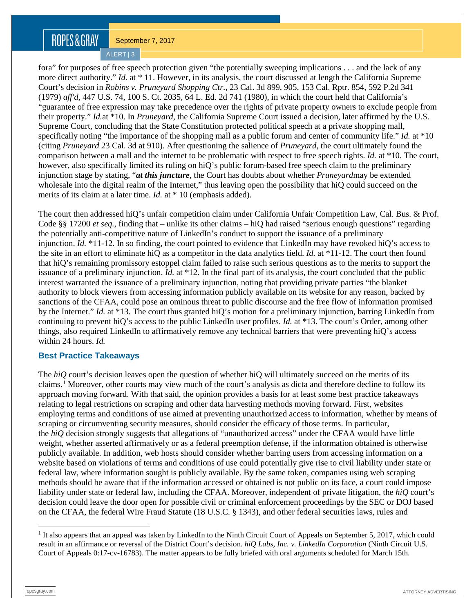# ROPES&GRAY

September 7, 2017

ALERT | 3

fora" for purposes of free speech protection given "the potentially sweeping implications . . . and the lack of any more direct authority." *Id.* at \* 11. However, in its analysis, the court discussed at length the California Supreme Court's decision in *Robins v. Pruneyard Shopping Ctr.*, 23 Cal. 3d 899, 905, 153 Cal. Rptr. 854, 592 P.2d 341 (1979) *aff'd*, 447 U.S. 74, 100 S. Ct. 2035, 64 L. Ed. 2d 741 (1980), in which the court held that California's "guarantee of free expression may take precedence over the rights of private property owners to exclude people from their property." *Id.*at \*10. In *Pruneyard*, the California Supreme Court issued a decision, later affirmed by the U.S. Supreme Court, concluding that the State Constitution protected political speech at a private shopping mall, specifically noting "the importance of the shopping mall as a public forum and center of community life." *Id.* at \*10 (citing *Pruneyard* 23 Cal. 3d at 910). After questioning the salience of *Pruneyard*, the court ultimately found the comparison between a mall and the internet to be problematic with respect to free speech rights. *Id.* at \*10. The court, however, also specifically limited its ruling on hiQ's public forum-based free speech claim to the preliminary injunction stage by stating, "*at this juncture*, the Court has doubts about whether *Pruneyard*may be extended wholesale into the digital realm of the Internet," thus leaving open the possibility that hiQ could succeed on the merits of its claim at a later time. *Id.* at \* 10 (emphasis added).

The court then addressed hiQ's unfair competition claim under California Unfair Competition Law, Cal. Bus. & Prof. Code §§ 17200 *et seq.*, finding that – unlike its other claims – hiQ had raised "serious enough questions" regarding the potentially anti-competitive nature of LinkedIn's conduct to support the issuance of a preliminary injunction. *Id.* \*11-12. In so finding, the court pointed to evidence that LinkedIn may have revoked hiQ's access to the site in an effort to eliminate hiQ as a competitor in the data analytics field. *Id.* at \*11-12. The court then found that hiQ's remaining promissory estoppel claim failed to raise such serious questions as to the merits to support the issuance of a preliminary injunction. *Id.* at \*12. In the final part of its analysis, the court concluded that the public interest warranted the issuance of a preliminary injunction, noting that providing private parties "the blanket authority to block viewers from accessing information publicly available on its website for any reason, backed by sanctions of the CFAA, could pose an ominous threat to public discourse and the free flow of information promised by the Internet." *Id.* at \*13. The court thus granted hiQ's motion for a preliminary injunction, barring LinkedIn from continuing to prevent hiQ's access to the public LinkedIn user profiles. *Id.* at \*13. The court's Order, among other things, also required LinkedIn to affirmatively remove any technical barriers that were preventing hiQ's access within 24 hours. *Id.*

#### **Best Practice Takeaways**

The *hiQ* court's decision leaves open the question of whether hiQ will ultimately succeed on the merits of its claims.[1](#page-2-0) Moreover, other courts may view much of the court's analysis as dicta and therefore decline to follow its approach moving forward. With that said, the opinion provides a basis for at least some best practice takeaways relating to legal restrictions on scraping and other data harvesting methods moving forward. First, websites employing terms and conditions of use aimed at preventing unauthorized access to information, whether by means of scraping or circumventing security measures, should consider the efficacy of those terms. In particular, the *hiQ* decision strongly suggests that allegations of "unauthorized access" under the CFAA would have little weight, whether asserted affirmatively or as a federal preemption defense, if the information obtained is otherwise publicly available. In addition, web hosts should consider whether barring users from accessing information on a website based on violations of terms and conditions of use could potentially give rise to civil liability under state or federal law, where information sought is publicly available. By the same token, companies using web scraping methods should be aware that if the information accessed or obtained is not public on its face, a court could impose liability under state or federal law, including the CFAA. Moreover, independent of private litigation, the *hiQ* court's decision could leave the door open for possible civil or criminal enforcement proceedings by the SEC or DOJ based on the CFAA, the federal Wire Fraud Statute (18 U.S.C. § 1343), and other federal securities laws, rules and

<span id="page-2-0"></span><sup>&</sup>lt;sup>1</sup> It also appears that an appeal was taken by LinkedIn to the Ninth Circuit Court of Appeals on September 5, 2017, which could result in an affirmance or reversal of the District Court's decision. *hiQ Labs, Inc. v. LinkedIn Corporation* (Ninth Circuit U.S. Court of Appeals 0:17-cv-16783). The matter appears to be fully briefed with oral arguments scheduled for March 15th.